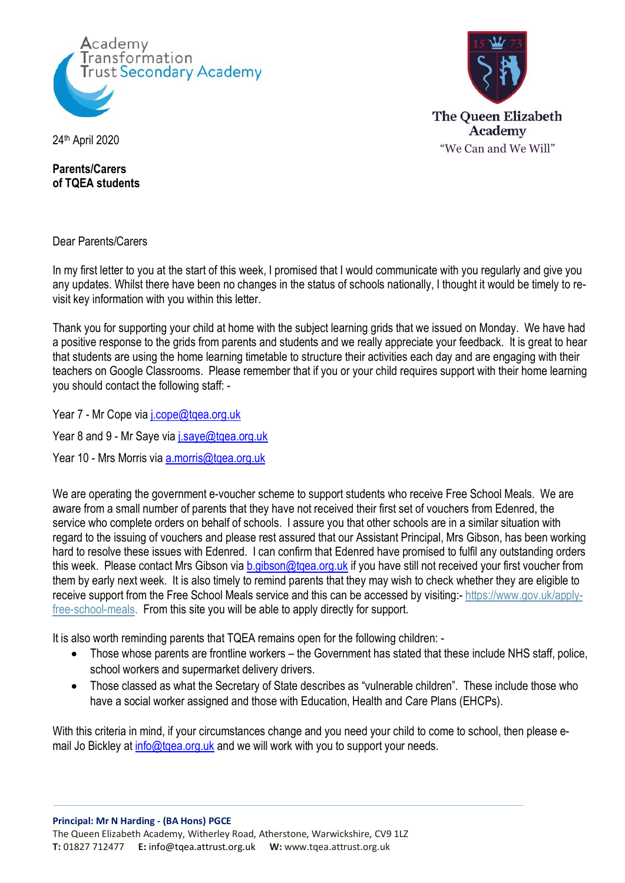



**Parents/Carers of TQEA students**

Dear Parents/Carers

In my first letter to you at the start of this week, I promised that I would communicate with you regularly and give you any updates. Whilst there have been no changes in the status of schools nationally, I thought it would be timely to revisit key information with you within this letter.

Thank you for supporting your child at home with the subject learning grids that we issued on Monday. We have had a positive response to the grids from parents and students and we really appreciate your feedback. It is great to hear that students are using the home learning timetable to structure their activities each day and are engaging with their teachers on Google Classrooms. Please remember that if you or your child requires support with their home learning you should contact the following staff: -

Year 7 - Mr Cope via *j.cope@tqea.org.uk* 

Year 8 and 9 - Mr Saye via *j.saye@tqea.org.uk* 

Year 10 - Mrs Morris via a.morris@tgea.org.uk

We are operating the government e-voucher scheme to support students who receive Free School Meals. We are aware from a small number of parents that they have not received their first set of vouchers from Edenred, the service who complete orders on behalf of schools. I assure you that other schools are in a similar situation with regard to the issuing of vouchers and please rest assured that our Assistant Principal, Mrs Gibson, has been working hard to resolve these issues with Edenred. I can confirm that Edenred have promised to fulfil any outstanding orders this week. Please contact Mrs Gibson via b.gibson@tgea.org.uk if you have still not received your first voucher from them by early next week. It is also timely to remind parents that they may wish to check whether they are eligible to receive support from the Free School Meals service and this can be accessed by visiting:- https://www.gov.uk/applyfree-school-meals. From this site you will be able to apply directly for support.

It is also worth reminding parents that TQEA remains open for the following children: -

- Those whose parents are frontline workers the Government has stated that these include NHS staff, police, school workers and supermarket delivery drivers.
- Those classed as what the Secretary of State describes as "vulnerable children". These include those who have a social worker assigned and those with Education, Health and Care Plans (EHCPs).

With this criteria in mind, if your circumstances change and you need your child to come to school, then please email Jo Bickley at info@tqea.org.uk and we will work with you to support your needs.